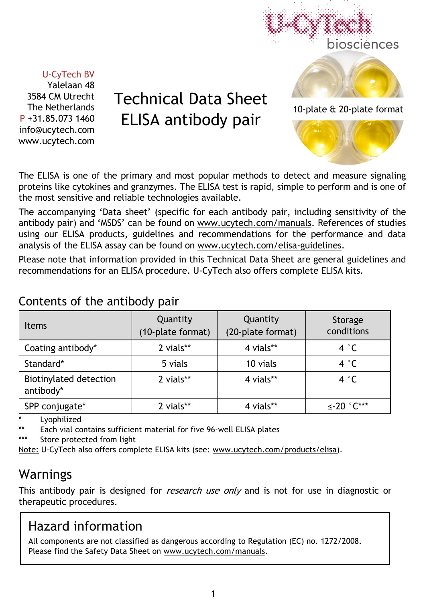

#### U-CyTech BV

Yalelaan 48 3584 CM Utrecht The Netherlands P +31.85.073 1460 info@ucytech.com www.ucytech.com

# Technical Data Sheet ELISA antibody pair

The ELISA is one of the primary and most popular methods to detect and measure signaling proteins like cytokines and granzymes. The ELISA test is rapid, simple to perform and is one of the most sensitive and reliable technologies available.

The accompanying 'Data sheet' (specific for each antibody pair, including sensitivity of the antibody pair) and 'MSDS' can be found on www.ucytech.com/manuals. References of studies using our ELISA products, guidelines and recommendations for the performance and data analysis of the ELISA assay can be found on www.ucytech.com/elisa-guidelines.

Please note that information provided in this Technical Data Sheet are general guidelines and recommendations for an ELISA procedure. U-CyTech also offers complete ELISA kits.

# Contents of the antibody pair

| <b>Items</b>                        | Quantity<br>(10-plate format) | Quantity<br>(20-plate format) | Storage<br>conditions      |  |
|-------------------------------------|-------------------------------|-------------------------------|----------------------------|--|
| Coating antibody*                   | 2 vials**                     | 4 vials**                     | 4 °C                       |  |
| Standard*                           | 5 vials                       | 10 vials                      | 4 °C                       |  |
| Biotinylated detection<br>antibody* | 2 vials**                     | 4 vials**                     | 4 $^{\circ}$ C             |  |
| SPP conjugate*                      | 2 vials**                     | 4 vials**                     | $\leq$ -20 $^{\circ}$ C*** |  |

Lyophilized

Each vial contains sufficient material for five 96-well ELISA plates

\*\*\* Store protected from light

Note: U-CyTech also offers complete ELISA kits (see: www.ucytech.com/products/elisa).

# Warnings

This antibody pair is designed for *research use only* and is not for use in diagnostic or therapeutic procedures.

# Hazard information

All components are not classified as dangerous according to Regulation (EC) no. 1272/2008. Please find the Safety Data Sheet on www.ucytech.com/manuals.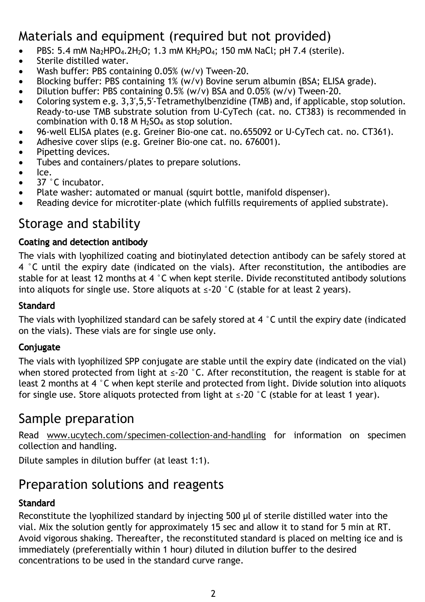# Materials and equipment (required but not provided)

- PBS: 5.4 mM Na2HPO4.2H2O; 1.3 mM KH2PO4; 150 mM NaCl; pH 7.4 (sterile).
- Sterile distilled water.
- Wash buffer: PBS containing 0.05% (w/v) Tween-20.
- Blocking buffer: PBS containing 1% (w/y) Bovine serum albumin (BSA; ELISA grade).
- Dilution buffer: PBS containing 0.5% (w/v) BSA and 0.05% (w/v) Tween-20.
- Coloring system e.g. 3.3', 5.5'-Tetramethylbenzidine (TMB) and, if applicable, stop solution. Ready-to-use TMB substrate solution from U-CyTech (cat. no. CT383) is recommended in combination with 0.18 M H2SO4 as stop solution.
- 96-well ELISA plates (e.g. Greiner Bio-one cat. no.655092 or U-CyTech cat. no. CT361).
- Adhesive cover slips (e.g. Greiner Bio-one cat. no. 676001).
- Pipetting devices.
- Tubes and containers/plates to prepare solutions.
- Ice.
- 37 °C incubator.
- Plate washer: automated or manual (squirt bottle, manifold dispenser).
- Reading device for microtiter-plate (which fulfills requirements of applied substrate).

# Storage and stability

#### Coating and detection antibody

The vials with lyophilized coating and biotinylated detection antibody can be safely stored at 4 °C until the expiry date (indicated on the vials). After reconstitution, the antibodies are stable for at least 12 months at 4 °C when kept sterile. Divide reconstituted antibody solutions into aliquots for single use. Store aliquots at  $\leq$ -20 °C (stable for at least 2 years).

#### **Standard**

The vials with lyophilized standard can be safely stored at  $4\degree$ C until the expiry date (indicated on the vials). These vials are for single use only.

#### **Conjugate**

The vials with lyophilized SPP conjugate are stable until the expiry date (indicated on the vial) when stored protected from light at  $\leq$ -20 °C. After reconstitution, the reagent is stable for at least 2 months at 4 °C when kept sterile and protected from light. Divide solution into aliquots for single use. Store aliquots protected from light at  $\leq$ -20 °C (stable for at least 1 year).

### Sample preparation

Read www.ucytech.com/specimen-collection-and-handling for information on specimen collection and handling.

Dilute samples in dilution buffer (at least 1:1).

# Preparation solutions and reagents

#### **Standard**

Reconstitute the lyophilized standard by injecting 500 µl of sterile distilled water into the vial. Mix the solution gently for approximately 15 sec and allow it to stand for 5 min at RT. Avoid vigorous shaking. Thereafter, the reconstituted standard is placed on melting ice and is immediately (preferentially within 1 hour) diluted in dilution buffer to the desired concentrations to be used in the standard curve range.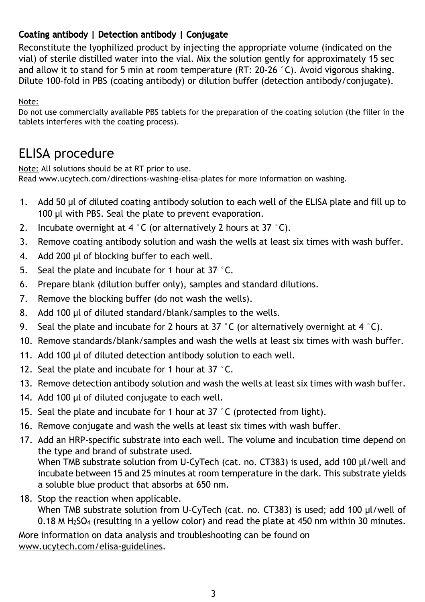#### Coating antibody | Detection antibody | Conjugate

Reconstitute the lyophilized product by injecting the appropriate volume (indicated on the vial) of sterile distilled water into the vial. Mix the solution gently for approximately 15 sec and allow it to stand for 5 min at room temperature (RT: 20-26 °C). Avoid vigorous shaking. Dilute 100-fold in PBS (coating antibody) or dilution buffer (detection antibody/conjugate).

Note:

Do not use commercially available PBS tablets for the preparation of the coating solution (the filler in the tablets interferes with the coating process).

# ELISA procedure

Note: All solutions should be at RT prior to use. Read www.ucytech.com/directions-washing-elisa-plates for more information on washing.

- 1. Add 50 µl of diluted coating antibody solution to each well of the ELISA plate and fill up to 100 µl with PBS. Seal the plate to prevent evaporation.
- 2. Incubate overnight at 4  $\degree$ C (or alternatively 2 hours at 37  $\degree$ C).
- 3. Remove coating antibody solution and wash the wells at least six times with wash buffer.
- 4. Add 200 µl of blocking buffer to each well.
- 5. Seal the plate and incubate for 1 hour at 37 °C.
- 6. Prepare blank (dilution buffer only), samples and standard dilutions.
- 7. Remove the blocking buffer (do not wash the wells).
- 8. Add 100 µl of diluted standard/blank/samples to the wells.
- 9. Seal the plate and incubate for 2 hours at 37 °C (or alternatively overnight at 4 °C).
- 10. Remove standards/blank/samples and wash the wells at least six times with wash buffer.
- 11. Add 100 µl of diluted detection antibody solution to each well.
- 12. Seal the plate and incubate for 1 hour at 37 °C.
- 13. Remove detection antibody solution and wash the wells at least six times with wash buffer.
- 14. Add 100 µl of diluted conjugate to each well.
- 15. Seal the plate and incubate for 1 hour at 37 °C (protected from light).
- 16. Remove conjugate and wash the wells at least six times with wash buffer.
- 17. Add an HRP-specific substrate into each well. The volume and incubation time depend on the type and brand of substrate used.

When TMB substrate solution from U-CyTech (cat. no. CT383) is used, add 100 µl/well and incubate between 15 and 25 minutes at room temperature in the dark. This substrate yields a soluble blue product that absorbs at 650 nm.

18. Stop the reaction when applicable.

When TMB substrate solution from U-CyTech (cat. no. CT383) is used; add 100 µl/well of 0.18 M H2SO4 (resulting in a yellow color) and read the plate at 450 nm within 30 minutes.

More information on data analysis and troubleshooting can be found on www.ucytech.com/elisa-guidelines.